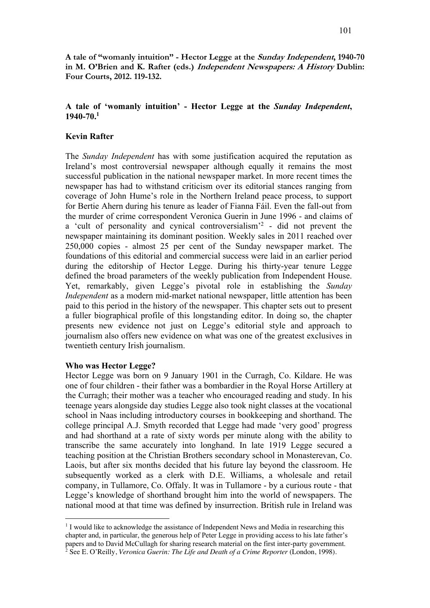**A tale of "womanly intuition" - Hector Legge at the Sunday Independent, 1940-70 in M. O'Brien and K. Rafter (eds.) Independent Newspapers: A History Dublin: Four Courts, 2012. 119-132.**

# **A tale of 'womanly intuition' - Hector Legge at the** *Sunday Independent***, 1940-70.1**

## **Kevin Rafter**

The *Sunday Independent* has with some justification acquired the reputation as Ireland's most controversial newspaper although equally it remains the most successful publication in the national newspaper market. In more recent times the newspaper has had to withstand criticism over its editorial stances ranging from coverage of John Hume's role in the Northern Ireland peace process, to support for Bertie Ahern during his tenure as leader of Fianna Fáil. Even the fall-out from the murder of crime correspondent Veronica Guerin in June 1996 - and claims of a 'cult of personality and cynical controversialism<sup>'2</sup> - did not prevent the newspaper maintaining its dominant position. Weekly sales in 2011 reached over 250,000 copies - almost 25 per cent of the Sunday newspaper market. The foundations of this editorial and commercial success were laid in an earlier period during the editorship of Hector Legge. During his thirty-year tenure Legge defined the broad parameters of the weekly publication from Independent House. Yet, remarkably, given Legge's pivotal role in establishing the *Sunday Independent* as a modern mid-market national newspaper, little attention has been paid to this period in the history of the newspaper. This chapter sets out to present a fuller biographical profile of this longstanding editor. In doing so, the chapter presents new evidence not just on Legge's editorial style and approach to journalism also offers new evidence on what was one of the greatest exclusives in twentieth century Irish journalism.

#### **Who was Hector Legge?**

Hector Legge was born on 9 January 1901 in the Curragh, Co. Kildare. He was one of four children - their father was a bombardier in the Royal Horse Artillery at the Curragh; their mother was a teacher who encouraged reading and study. In his teenage years alongside day studies Legge also took night classes at the vocational school in Naas including introductory courses in bookkeeping and shorthand. The college principal A.J. Smyth recorded that Legge had made 'very good' progress and had shorthand at a rate of sixty words per minute along with the ability to transcribe the same accurately into longhand. In late 1919 Legge secured a teaching position at the Christian Brothers secondary school in Monasterevan, Co. Laois, but after six months decided that his future lay beyond the classroom. He subsequently worked as a clerk with D.E. Williams, a wholesale and retail company, in Tullamore, Co. Offaly. It was in Tullamore - by a curious route - that Legge's knowledge of shorthand brought him into the world of newspapers. The national mood at that time was defined by insurrection. British rule in Ireland was

 $1$  I would like to acknowledge the assistance of Independent News and Media in researching this chapter and, in particular, the generous help of Peter Legge in providing access to his late father's papers and to David McCullagh for sharing research material on the first inter-party government. <sup>2</sup> See E. O'Reilly, *Veronica Guerin: The Life and Death of a Crime Reporter* (London, 1998).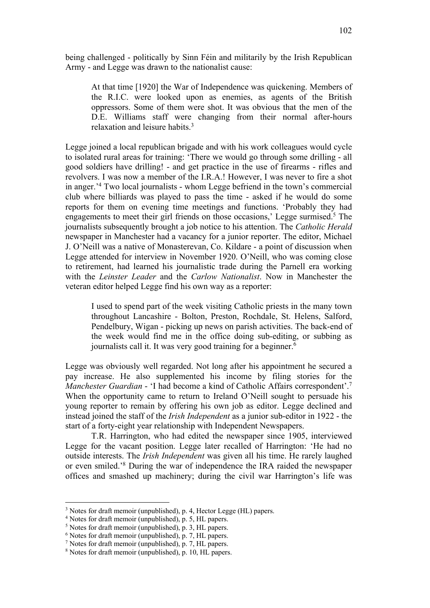being challenged - politically by Sinn Féin and militarily by the Irish Republican Army - and Legge was drawn to the nationalist cause:

At that time [1920] the War of Independence was quickening. Members of the R.I.C. were looked upon as enemies, as agents of the British oppressors. Some of them were shot. It was obvious that the men of the D.E. Williams staff were changing from their normal after-hours relaxation and leisure habits.3

Legge joined a local republican brigade and with his work colleagues would cycle to isolated rural areas for training: 'There we would go through some drilling - all good soldiers have drilling! - and get practice in the use of firearms - rifles and revolvers. I was now a member of the I.R.A.! However, I was never to fire a shot in anger.' <sup>4</sup> Two local journalists - whom Legge befriend in the town's commercial club where billiards was played to pass the time - asked if he would do some reports for them on evening time meetings and functions. 'Probably they had engagements to meet their girl friends on those occasions,' Legge surmised.<sup>5</sup> The journalists subsequently brought a job notice to his attention. The *Catholic Herald* newspaper in Manchester had a vacancy for a junior reporter. The editor, Michael J. O'Neill was a native of Monasterevan, Co. Kildare - a point of discussion when Legge attended for interview in November 1920. O'Neill, who was coming close to retirement, had learned his journalistic trade during the Parnell era working with the *Leinster Leader* and the *Carlow Nationalist*. Now in Manchester the veteran editor helped Legge find his own way as a reporter:

I used to spend part of the week visiting Catholic priests in the many town throughout Lancashire - Bolton, Preston, Rochdale, St. Helens, Salford, Pendelbury, Wigan - picking up news on parish activities. The back-end of the week would find me in the office doing sub-editing, or subbing as journalists call it. It was very good training for a beginner.<sup>6</sup>

Legge was obviously well regarded. Not long after his appointment he secured a pay increase. He also supplemented his income by filing stories for the *Manchester Guardian* - 'I had become a kind of Catholic Affairs correspondent'. 7 When the opportunity came to return to Ireland O'Neill sought to persuade his young reporter to remain by offering his own job as editor. Legge declined and instead joined the staff of the *Irish Independent* as a junior sub-editor in 1922 - the start of a forty-eight year relationship with Independent Newspapers.

T.R. Harrington, who had edited the newspaper since 1905, interviewed Legge for the vacant position. Legge later recalled of Harrington: 'He had no outside interests. The *Irish Independent* was given all his time. He rarely laughed or even smiled.'8 During the war of independence the IRA raided the newspaper offices and smashed up machinery; during the civil war Harrington's life was

<sup>&</sup>lt;sup>3</sup> Notes for draft memoir (unpublished), p. 4, Hector Legge (HL) papers.

<sup>4</sup> Notes for draft memoir (unpublished), p. 5, HL papers.

<sup>5</sup> Notes for draft memoir (unpublished), p. 3, HL papers.

 $<sup>6</sup>$  Notes for draft memoir (unpublished), p. 7, HL papers.</sup>

<sup>7</sup> Notes for draft memoir (unpublished), p. 7, HL papers.

<sup>8</sup> Notes for draft memoir (unpublished), p. 10, HL papers.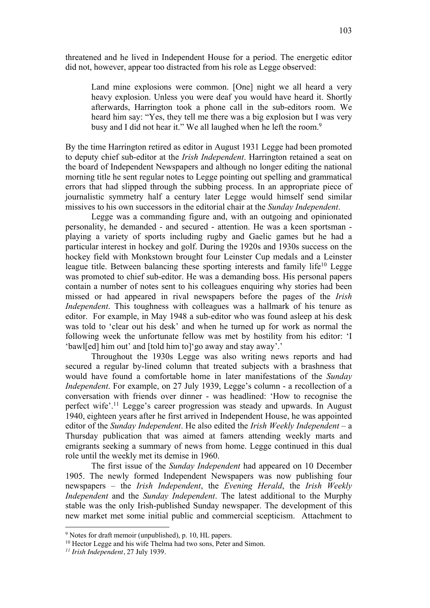threatened and he lived in Independent House for a period. The energetic editor did not, however, appear too distracted from his role as Legge observed:

Land mine explosions were common. [One] night we all heard a very heavy explosion. Unless you were deaf you would have heard it. Shortly afterwards, Harrington took a phone call in the sub-editors room. We heard him say: "Yes, they tell me there was a big explosion but I was very busy and I did not hear it." We all laughed when he left the room.<sup>9</sup>

By the time Harrington retired as editor in August 1931 Legge had been promoted to deputy chief sub-editor at the *Irish Independent*. Harrington retained a seat on the board of Independent Newspapers and although no longer editing the national morning title he sent regular notes to Legge pointing out spelling and grammatical errors that had slipped through the subbing process. In an appropriate piece of journalistic symmetry half a century later Legge would himself send similar missives to his own successors in the editorial chair at the *Sunday Independent*.

Legge was a commanding figure and, with an outgoing and opinionated personality, he demanded - and secured - attention. He was a keen sportsman playing a variety of sports including rugby and Gaelic games but he had a particular interest in hockey and golf. During the 1920s and 1930s success on the hockey field with Monkstown brought four Leinster Cup medals and a Leinster league title. Between balancing these sporting interests and family life<sup>10</sup> Legge was promoted to chief sub-editor. He was a demanding boss. His personal papers contain a number of notes sent to his colleagues enquiring why stories had been missed or had appeared in rival newspapers before the pages of the *Irish Independent*. This toughness with colleagues was a hallmark of his tenure as editor. For example, in May 1948 a sub-editor who was found asleep at his desk was told to 'clear out his desk' and when he turned up for work as normal the following week the unfortunate fellow was met by hostility from his editor: 'I 'bawl[ed] him out' and [told him to]'go away and stay away'.'

Throughout the 1930s Legge was also writing news reports and had secured a regular by-lined column that treated subjects with a brashness that would have found a comfortable home in later manifestations of the *Sunday Independent*. For example, on 27 July 1939, Legge's column - a recollection of a conversation with friends over dinner - was headlined: 'How to recognise the perfect wife'.11 Legge's career progression was steady and upwards. In August 1940, eighteen years after he first arrived in Independent House, he was appointed editor of the *Sunday Independent*. He also edited the *Irish Weekly Independent* – a Thursday publication that was aimed at famers attending weekly marts and emigrants seeking a summary of news from home. Legge continued in this dual role until the weekly met its demise in 1960.

The first issue of the *Sunday Independent* had appeared on 10 December 1905. The newly formed Independent Newspapers was now publishing four newspapers – the *Irish Independent*, the *Evening Herald*, the *Irish Weekly Independent* and the *Sunday Independent*. The latest additional to the Murphy stable was the only Irish-published Sunday newspaper. The development of this new market met some initial public and commercial scepticism. Attachment to

<sup>9</sup> Notes for draft memoir (unpublished), p. 10, HL papers.

<sup>&</sup>lt;sup>10</sup> Hector Legge and his wife Thelma had two sons, Peter and Simon.

*<sup>11</sup> Irish Independent*, 27 July 1939.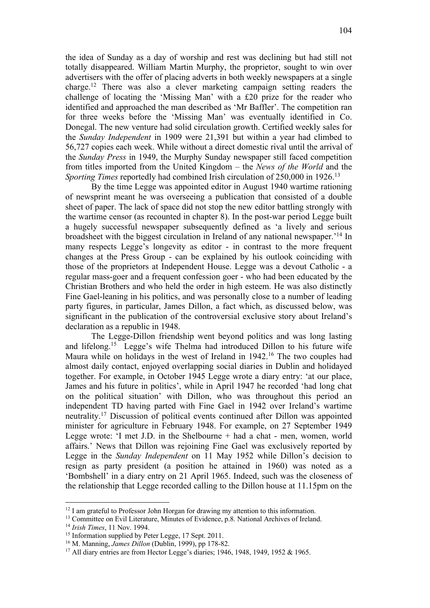the idea of Sunday as a day of worship and rest was declining but had still not totally disappeared. William Martin Murphy, the proprietor, sought to win over advertisers with the offer of placing adverts in both weekly newspapers at a single charge.12 There was also a clever marketing campaign setting readers the challenge of locating the 'Missing Man' with a £20 prize for the reader who identified and approached the man described as 'Mr Baffler'. The competition ran for three weeks before the 'Missing Man' was eventually identified in Co. Donegal. The new venture had solid circulation growth. Certified weekly sales for the *Sunday Independent* in 1909 were 21,391 but within a year had climbed to 56,727 copies each week. While without a direct domestic rival until the arrival of the *Sunday Press* in 1949, the Murphy Sunday newspaper still faced competition from titles imported from the United Kingdom – the *News of the World* and the *Sporting Times* reportedly had combined Irish circulation of 250,000 in 1926.<sup>13</sup>

By the time Legge was appointed editor in August 1940 wartime rationing of newsprint meant he was overseeing a publication that consisted of a double sheet of paper. The lack of space did not stop the new editor battling strongly with the wartime censor (as recounted in chapter 8). In the post-war period Legge built a hugely successful newspaper subsequently defined as 'a lively and serious broadsheet with the biggest circulation in Ireland of any national newspaper.' <sup>14</sup> In many respects Legge's longevity as editor - in contrast to the more frequent changes at the Press Group - can be explained by his outlook coinciding with those of the proprietors at Independent House. Legge was a devout Catholic - a regular mass-goer and a frequent confession goer - who had been educated by the Christian Brothers and who held the order in high esteem. He was also distinctly Fine Gael-leaning in his politics, and was personally close to a number of leading party figures, in particular, James Dillon, a fact which, as discussed below, was significant in the publication of the controversial exclusive story about Ireland's declaration as a republic in 1948.

The Legge-Dillon friendship went beyond politics and was long lasting and lifelong.15 Legge's wife Thelma had introduced Dillon to his future wife Maura while on holidays in the west of Ireland in 1942.<sup>16</sup> The two couples had almost daily contact, enjoyed overlapping social diaries in Dublin and holidayed together. For example, in October 1945 Legge wrote a diary entry: 'at our place, James and his future in politics', while in April 1947 he recorded 'had long chat on the political situation' with Dillon, who was throughout this period an independent TD having parted with Fine Gael in 1942 over Ireland's wartime neutrality.17 Discussion of political events continued after Dillon was appointed minister for agriculture in February 1948. For example, on 27 September 1949 Legge wrote: 'I met J.D. in the Shelbourne + had a chat - men, women, world affairs.' News that Dillon was rejoining Fine Gael was exclusively reported by Legge in the *Sunday Independent* on 11 May 1952 while Dillon's decision to resign as party president (a position he attained in 1960) was noted as a 'Bombshell' in a diary entry on 21 April 1965. Indeed, such was the closeness of the relationship that Legge recorded calling to the Dillon house at 11.15pm on the

<sup>&</sup>lt;sup>12</sup> I am grateful to Professor John Horgan for drawing my attention to this information.

<sup>&</sup>lt;sup>13</sup> Committee on Evil Literature, Minutes of Evidence, p.8. National Archives of Ireland.

<sup>14</sup> *Irish Times*, 11 Nov. 1994.

<sup>&</sup>lt;sup>15</sup> Information supplied by Peter Legge, 17 Sept. 2011.

<sup>16</sup> M. Manning, *James Dillon* (Dublin, 1999), pp 178-82.

<sup>17</sup> All diary entries are from Hector Legge's diaries; 1946, 1948, 1949, 1952 & 1965.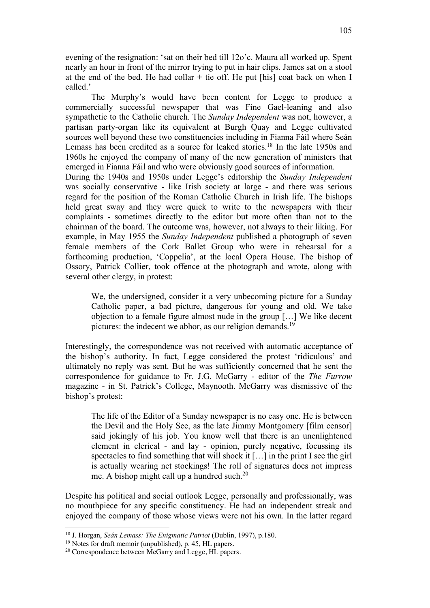evening of the resignation: 'sat on their bed till 12o'c. Maura all worked up. Spent nearly an hour in front of the mirror trying to put in hair clips. James sat on a stool at the end of the bed. He had collar  $+$  tie off. He put [his] coat back on when I called.'

The Murphy's would have been content for Legge to produce a commercially successful newspaper that was Fine Gael-leaning and also sympathetic to the Catholic church. The *Sunday Independent* was not, however, a partisan party-organ like its equivalent at Burgh Quay and Legge cultivated sources well beyond these two constituencies including in Fianna Fáil where Seán Lemass has been credited as a source for leaked stories.<sup>18</sup> In the late 1950s and 1960s he enjoyed the company of many of the new generation of ministers that emerged in Fianna Fáil and who were obviously good sources of information.

During the 1940s and 1950s under Legge's editorship the *Sunday Independent* was socially conservative - like Irish society at large - and there was serious regard for the position of the Roman Catholic Church in Irish life. The bishops held great sway and they were quick to write to the newspapers with their complaints - sometimes directly to the editor but more often than not to the chairman of the board. The outcome was, however, not always to their liking. For example, in May 1955 the *Sunday Independent* published a photograph of seven female members of the Cork Ballet Group who were in rehearsal for a forthcoming production, 'Coppelia', at the local Opera House. The bishop of Ossory, Patrick Collier, took offence at the photograph and wrote, along with several other clergy, in protest:

We, the undersigned, consider it a very unbecoming picture for a Sunday Catholic paper, a bad picture, dangerous for young and old. We take objection to a female figure almost nude in the group […] We like decent pictures: the indecent we abhor, as our religion demands.<sup>19</sup>

Interestingly, the correspondence was not received with automatic acceptance of the bishop's authority. In fact, Legge considered the protest 'ridiculous' and ultimately no reply was sent. But he was sufficiently concerned that he sent the correspondence for guidance to Fr. J.G. McGarry - editor of the *The Furrow* magazine - in St. Patrick's College, Maynooth. McGarry was dismissive of the bishop's protest:

The life of the Editor of a Sunday newspaper is no easy one. He is between the Devil and the Holy See, as the late Jimmy Montgomery [film censor] said jokingly of his job. You know well that there is an unenlightened element in clerical - and lay - opinion, purely negative, focussing its spectacles to find something that will shock it […] in the print I see the girl is actually wearing net stockings! The roll of signatures does not impress me. A bishop might call up a hundred such.<sup>20</sup>

Despite his political and social outlook Legge, personally and professionally, was no mouthpiece for any specific constituency. He had an independent streak and enjoyed the company of those whose views were not his own. In the latter regard

<sup>18</sup> J. Horgan, *Seán Lemass: The Enigmatic Patriot* (Dublin, 1997), p.180.

<sup>&</sup>lt;sup>19</sup> Notes for draft memoir (unpublished), p. 45, HL papers.

<sup>20</sup> Correspondence between McGarry and Legge, HL papers.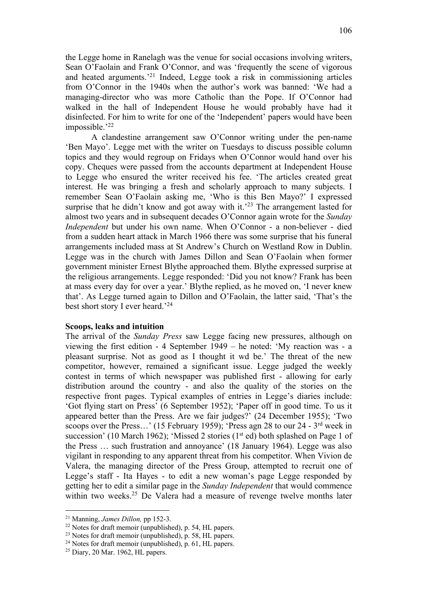the Legge home in Ranelagh was the venue for social occasions involving writers, Sean O'Faolain and Frank O'Connor, and was 'frequently the scene of vigorous and heated arguments.' <sup>21</sup> Indeed, Legge took a risk in commissioning articles from O'Connor in the 1940s when the author's work was banned: 'We had a managing-director who was more Catholic than the Pope. If O'Connor had walked in the hall of Independent House he would probably have had it disinfected. For him to write for one of the 'Independent' papers would have been impossible.' 22

A clandestine arrangement saw O'Connor writing under the pen-name 'Ben Mayo'. Legge met with the writer on Tuesdays to discuss possible column topics and they would regroup on Fridays when O'Connor would hand over his copy. Cheques were passed from the accounts department at Independent House to Legge who ensured the writer received his fee. 'The articles created great interest. He was bringing a fresh and scholarly approach to many subjects. I remember Sean O'Faolain asking me, 'Who is this Ben Mayo?' I expressed surprise that he didn't know and got away with it.<sup>23</sup> The arrangement lasted for almost two years and in subsequent decades O'Connor again wrote for the *Sunday Independent* but under his own name. When O'Connor - a non-believer - died from a sudden heart attack in March 1966 there was some surprise that his funeral arrangements included mass at St Andrew's Church on Westland Row in Dublin. Legge was in the church with James Dillon and Sean O'Faolain when former government minister Ernest Blythe approached them. Blythe expressed surprise at the religious arrangements. Legge responded: 'Did you not know? Frank has been at mass every day for over a year.' Blythe replied, as he moved on, 'I never knew that'. As Legge turned again to Dillon and O'Faolain, the latter said, 'That's the best short story I ever heard.'<sup>24</sup>

#### **Scoops, leaks and intuition**

The arrival of the *Sunday Press* saw Legge facing new pressures, although on viewing the first edition - 4 September 1949 – he noted: 'My reaction was - a pleasant surprise. Not as good as I thought it wd be.' The threat of the new competitor, however, remained a significant issue. Legge judged the weekly contest in terms of which newspaper was published first - allowing for early distribution around the country - and also the quality of the stories on the respective front pages. Typical examples of entries in Legge's diaries include: 'Got flying start on Press' (6 September 1952); 'Paper off in good time. To us it appeared better than the Press. Are we fair judges?' (24 December 1955); 'Two scoops over the Press…' (15 February 1959); 'Press agn 28 to our 24 - 3rd week in succession' (10 March 1962); 'Missed 2 stories ( $1<sup>st</sup>$  ed) both splashed on Page 1 of the Press … such frustration and annoyance' (18 January 1964). Legge was also vigilant in responding to any apparent threat from his competitor. When Vivion de Valera, the managing director of the Press Group, attempted to recruit one of Legge's staff - Ita Hayes - to edit a new woman's page Legge responded by getting her to edit a similar page in the *Sunday Independent* that would commence within two weeks.<sup>25</sup> De Valera had a measure of revenge twelve months later

<sup>21</sup> Manning, *James Dillon,* pp 152-3.

<sup>22</sup> Notes for draft memoir (unpublished), p. 54, HL papers.

<sup>&</sup>lt;sup>23</sup> Notes for draft memoir (unpublished), p. 58, HL papers.

 $24$  Notes for draft memoir (unpublished), p. 61, HL papers.

<sup>25</sup> Diary, 20 Mar. 1962, HL papers.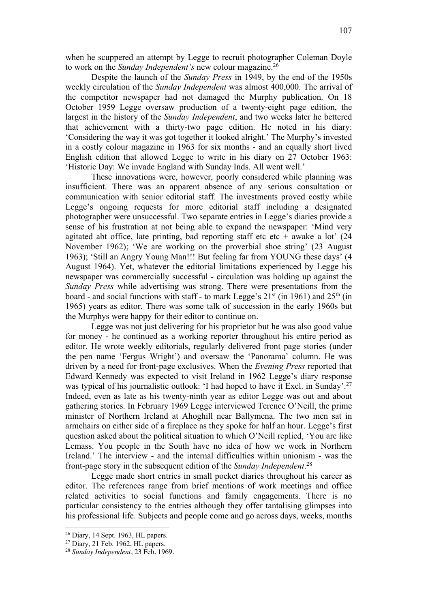when he scuppered an attempt by Legge to recruit photographer Coleman Doyle to work on the *Sunday Independent's* new colour magazine.26

Despite the launch of the *Sunday Press* in 1949, by the end of the 1950s weekly circulation of the *Sunday Independent* was almost 400,000. The arrival of the competitor newspaper had not damaged the Murphy publication. On 18 October 1959 Legge oversaw production of a twenty-eight page edition, the largest in the history of the *Sunday Independent*, and two weeks later he bettered that achievement with a thirty-two page edition. He noted in his diary: 'Considering the way it was got together it looked alright.' The Murphy's invested in a costly colour magazine in 1963 for six months - and an equally short lived English edition that allowed Legge to write in his diary on 27 October 1963: 'Historic Day: We invade England with Sunday Inds. All went well.'

These innovations were, however, poorly considered while planning was insufficient. There was an apparent absence of any serious consultation or communication with senior editorial staff. The investments proved costly while Legge's ongoing requests for more editorial staff including a designated photographer were unsuccessful. Two separate entries in Legge's diaries provide a sense of his frustration at not being able to expand the newspaper: 'Mind very agitated abt office, late printing, bad reporting staff etc etc + awake a lot'  $(24)$ November 1962); 'We are working on the proverbial shoe string' (23 August 1963); 'Still an Angry Young Man!!! But feeling far from YOUNG these days' (4 August 1964). Yet, whatever the editorial limitations experienced by Legge his newspaper was commercially successful - circulation was holding up against the *Sunday Press* while advertising was strong. There were presentations from the board - and social functions with staff - to mark Legge's  $21<sup>st</sup>$  (in 1961) and  $25<sup>th</sup>$  (in 1965) years as editor. There was some talk of succession in the early 1960s but the Murphys were happy for their editor to continue on.

Legge was not just delivering for his proprietor but he was also good value for money - he continued as a working reporter throughout his entire period as editor. He wrote weekly editorials, regularly delivered front page stories (under the pen name 'Fergus Wright') and oversaw the 'Panorama' column. He was driven by a need for front-page exclusives. When the *Evening Press* reported that Edward Kennedy was expected to visit Ireland in 1962 Legge's diary response was typical of his journalistic outlook: 'I had hoped to have it Excl. in Sunday'.<sup>27</sup> Indeed, even as late as his twenty-ninth year as editor Legge was out and about gathering stories. In February 1969 Legge interviewed Terence O'Neill, the prime minister of Northern Ireland at Ahoghill near Ballymena. The two men sat in armchairs on either side of a fireplace as they spoke for half an hour. Legge's first question asked about the political situation to which O'Neill replied, 'You are like Lemass. You people in the South have no idea of how we work in Northern Ireland.' The interview - and the internal difficulties within unionism - was the front-page story in the subsequent edition of the *Sunday Independent*. 28

Legge made short entries in small pocket diaries throughout his career as editor. The references range from brief mentions of work meetings and office related activities to social functions and family engagements. There is no particular consistency to the entries although they offer tantalising glimpses into his professional life. Subjects and people come and go across days, weeks, months

 $26$  Diary, 14 Sept. 1963, HL papers.

<sup>&</sup>lt;sup>27</sup> Diary, 21 Feb. 1962, HL papers.

<sup>28</sup> *Sunday Independent*, 23 Feb. 1969.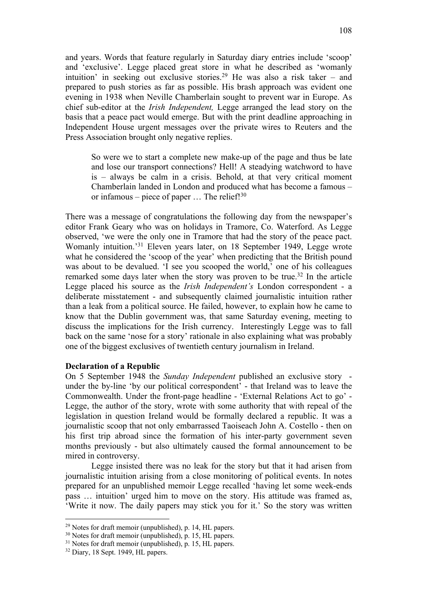and years. Words that feature regularly in Saturday diary entries include 'scoop' and 'exclusive'. Legge placed great store in what he described as 'womanly intuition' in seeking out exclusive stories.<sup>29</sup> He was also a risk taker – and prepared to push stories as far as possible. His brash approach was evident one evening in 1938 when Neville Chamberlain sought to prevent war in Europe. As chief sub-editor at the *Irish Independent,* Legge arranged the lead story on the basis that a peace pact would emerge. But with the print deadline approaching in Independent House urgent messages over the private wires to Reuters and the Press Association brought only negative replies.

So were we to start a complete new make-up of the page and thus be late and lose our transport connections? Hell! A steadying watchword to have is – always be calm in a crisis. Behold, at that very critical moment Chamberlain landed in London and produced what has become a famous – or infamous – piece of paper  $\ldots$  The relief!<sup>30</sup>

There was a message of congratulations the following day from the newspaper's editor Frank Geary who was on holidays in Tramore, Co. Waterford. As Legge observed, 'we were the only one in Tramore that had the story of the peace pact. Womanly intuition.<sup>'31</sup> Eleven years later, on 18 September 1949, Legge wrote what he considered the 'scoop of the year' when predicting that the British pound was about to be devalued. 'I see you scooped the world,' one of his colleagues remarked some days later when the story was proven to be true.<sup>32</sup> In the article Legge placed his source as the *Irish Independent's* London correspondent - a deliberate misstatement - and subsequently claimed journalistic intuition rather than a leak from a political source. He failed, however, to explain how he came to know that the Dublin government was, that same Saturday evening, meeting to discuss the implications for the Irish currency. Interestingly Legge was to fall back on the same 'nose for a story' rationale in also explaining what was probably one of the biggest exclusives of twentieth century journalism in Ireland.

## **Declaration of a Republic**

On 5 September 1948 the *Sunday Independent* published an exclusive story under the by-line 'by our political correspondent' - that Ireland was to leave the Commonwealth. Under the front-page headline - 'External Relations Act to go' - Legge, the author of the story, wrote with some authority that with repeal of the legislation in question Ireland would be formally declared a republic. It was a journalistic scoop that not only embarrassed Taoiseach John A. Costello - then on his first trip abroad since the formation of his inter-party government seven months previously - but also ultimately caused the formal announcement to be mired in controversy.

Legge insisted there was no leak for the story but that it had arisen from journalistic intuition arising from a close monitoring of political events. In notes prepared for an unpublished memoir Legge recalled 'having let some week-ends pass … intuition' urged him to move on the story. His attitude was framed as, 'Write it now. The daily papers may stick you for it.' So the story was written

<sup>29</sup> Notes for draft memoir (unpublished), p. 14, HL papers.

<sup>30</sup> Notes for draft memoir (unpublished), p. 15, HL papers.

<sup>&</sup>lt;sup>31</sup> Notes for draft memoir (unpublished), p. 15, HL papers.

<sup>&</sup>lt;sup>32</sup> Diary, 18 Sept. 1949, HL papers.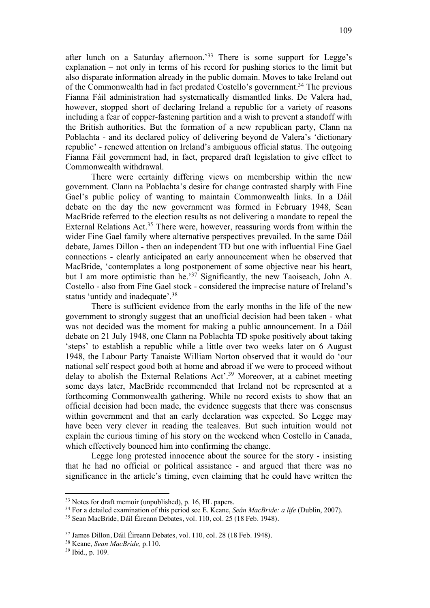after lunch on a Saturday afternoon.<sup>33</sup> There is some support for Legge's explanation – not only in terms of his record for pushing stories to the limit but also disparate information already in the public domain. Moves to take Ireland out of the Commonwealth had in fact predated Costello's government.<sup>34</sup> The previous Fianna Fáil administration had systematically dismantled links. De Valera had, however, stopped short of declaring Ireland a republic for a variety of reasons including a fear of copper-fastening partition and a wish to prevent a standoff with the British authorities. But the formation of a new republican party, Clann na Poblachta - and its declared policy of delivering beyond de Valera's 'dictionary republic' - renewed attention on Ireland's ambiguous official status. The outgoing Fianna Fáil government had, in fact, prepared draft legislation to give effect to Commonwealth withdrawal.

There were certainly differing views on membership within the new government. Clann na Poblachta's desire for change contrasted sharply with Fine Gael's public policy of wanting to maintain Commonwealth links. In a Dáil debate on the day the new government was formed in February 1948, Sean MacBride referred to the election results as not delivering a mandate to repeal the External Relations Act.<sup>35</sup> There were, however, reassuring words from within the wider Fine Gael family where alternative perspectives prevailed. In the same Dáil debate, James Dillon - then an independent TD but one with influential Fine Gael connections - clearly anticipated an early announcement when he observed that MacBride, 'contemplates a long postponement of some objective near his heart, but I am more optimistic than he.'<sup>37</sup> Significantly, the new Taoiseach, John A. Costello - also from Fine Gael stock - considered the imprecise nature of Ireland's status 'untidy and inadequate'.<sup>38</sup>

There is sufficient evidence from the early months in the life of the new government to strongly suggest that an unofficial decision had been taken - what was not decided was the moment for making a public announcement. In a Dáil debate on 21 July 1948, one Clann na Poblachta TD spoke positively about taking 'steps' to establish a republic while a little over two weeks later on 6 August 1948, the Labour Party Tanaiste William Norton observed that it would do 'our national self respect good both at home and abroad if we were to proceed without delay to abolish the External Relations Act'. <sup>39</sup> Moreover, at a cabinet meeting some days later, MacBride recommended that Ireland not be represented at a forthcoming Commonwealth gathering. While no record exists to show that an official decision had been made, the evidence suggests that there was consensus within government and that an early declaration was expected. So Legge may have been very clever in reading the tealeaves. But such intuition would not explain the curious timing of his story on the weekend when Costello in Canada, which effectively bounced him into confirming the change.

Legge long protested innocence about the source for the story - insisting that he had no official or political assistance - and argued that there was no significance in the article's timing, even claiming that he could have written the

<sup>33</sup> Notes for draft memoir (unpublished), p. 16, HL papers.

<sup>34</sup> For a detailed examination of this period see E. Keane, *Seán MacBride: a life* (Dublin, 2007).

<sup>35</sup> Sean MacBride, Dáil Éireann Debates, vol. 110, col. 25 (18 Feb. 1948).

<sup>37</sup> James Dillon, Dáil Éireann Debates, vol. 110, col. 28 (18 Feb. 1948).

<sup>38</sup> Keane, *Sean MacBride,* p.110.

<sup>39</sup> Ibid., p. 109.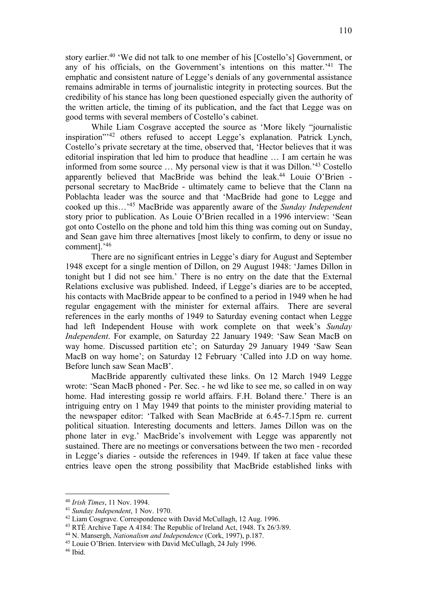story earlier.<sup>40</sup> 'We did not talk to one member of his [Costello's] Government, or any of his officials, on the Government's intentions on this matter.' <sup>41</sup> The emphatic and consistent nature of Legge's denials of any governmental assistance remains admirable in terms of journalistic integrity in protecting sources. But the credibility of his stance has long been questioned especially given the authority of the written article, the timing of its publication, and the fact that Legge was on good terms with several members of Costello's cabinet.

While Liam Cosgrave accepted the source as 'More likely "journalistic inspiration"'42 others refused to accept Legge's explanation. Patrick Lynch, Costello's private secretary at the time, observed that, 'Hector believes that it was editorial inspiration that led him to produce that headline … I am certain he was informed from some source … My personal view is that it was Dillon.'43 Costello apparently believed that MacBride was behind the leak.<sup>44</sup> Louie O'Brien personal secretary to MacBride - ultimately came to believe that the Clann na Poblachta leader was the source and that 'MacBride had gone to Legge and cooked up this…'45 MacBride was apparently aware of the *Sunday Independent* story prior to publication. As Louie O'Brien recalled in a 1996 interview: 'Sean got onto Costello on the phone and told him this thing was coming out on Sunday, and Sean gave him three alternatives [most likely to confirm, to deny or issue no comment].' 46

There are no significant entries in Legge's diary for August and September 1948 except for a single mention of Dillon, on 29 August 1948: 'James Dillon in tonight but I did not see him.' There is no entry on the date that the External Relations exclusive was published. Indeed, if Legge's diaries are to be accepted, his contacts with MacBride appear to be confined to a period in 1949 when he had regular engagement with the minister for external affairs. There are several references in the early months of 1949 to Saturday evening contact when Legge had left Independent House with work complete on that week's *Sunday Independent*. For example, on Saturday 22 January 1949: 'Saw Sean MacB on way home. Discussed partition etc'; on Saturday 29 January 1949 'Saw Sean MacB on way home'; on Saturday 12 February 'Called into J.D on way home. Before lunch saw Sean MacB'.

MacBride apparently cultivated these links. On 12 March 1949 Legge wrote: 'Sean MacB phoned - Per. Sec. - he wd like to see me, so called in on way home. Had interesting gossip re world affairs. F.H. Boland there.' There is an intriguing entry on 1 May 1949 that points to the minister providing material to the newspaper editor: 'Talked with Sean MacBride at 6.45-7.15pm re. current political situation. Interesting documents and letters. James Dillon was on the phone later in evg.' MacBride's involvement with Legge was apparently not sustained. There are no meetings or conversations between the two men - recorded in Legge's diaries - outside the references in 1949. If taken at face value these entries leave open the strong possibility that MacBride established links with

<sup>40</sup> *Irish Times*, 11 Nov. 1994.

<sup>41</sup> *Sunday Independent*, 1 Nov. 1970.

<sup>42</sup> Liam Cosgrave. Correspondence with David McCullagh, 12 Aug. 1996.

<sup>&</sup>lt;sup>43</sup> RTÉ Archive Tape A 4184: The Republic of Ireland Act, 1948. Tx 26/3/89.

<sup>44</sup> N. Mansergh, *Nationalism and Independence* (Cork, 1997), p.187.

<sup>&</sup>lt;sup>45</sup> Louie O'Brien. Interview with David McCullagh, 24 July 1996.<br><sup>46</sup> Ibid.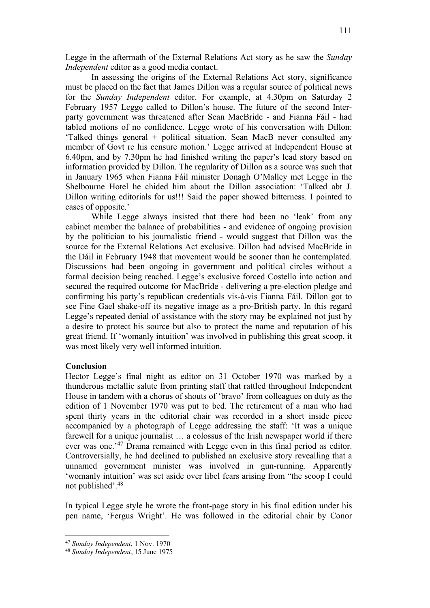Legge in the aftermath of the External Relations Act story as he saw the *Sunday Independent* editor as a good media contact.

In assessing the origins of the External Relations Act story, significance must be placed on the fact that James Dillon was a regular source of political news for the *Sunday Independent* editor. For example, at 4.30pm on Saturday 2 February 1957 Legge called to Dillon's house. The future of the second Interparty government was threatened after Sean MacBride - and Fianna Fáil - had tabled motions of no confidence. Legge wrote of his conversation with Dillon: 'Talked things general + political situation. Sean MacB never consulted any member of Govt re his censure motion.' Legge arrived at Independent House at 6.40pm, and by 7.30pm he had finished writing the paper's lead story based on information provided by Dillon. The regularity of Dillon as a source was such that in January 1965 when Fianna Fáil minister Donagh O'Malley met Legge in the Shelbourne Hotel he chided him about the Dillon association: 'Talked abt J. Dillon writing editorials for us!!! Said the paper showed bitterness. I pointed to cases of opposite.'

While Legge always insisted that there had been no 'leak' from any cabinet member the balance of probabilities - and evidence of ongoing provision by the politician to his journalistic friend - would suggest that Dillon was the source for the External Relations Act exclusive. Dillon had advised MacBride in the Dáil in February 1948 that movement would be sooner than he contemplated. Discussions had been ongoing in government and political circles without a formal decision being reached. Legge's exclusive forced Costello into action and secured the required outcome for MacBride - delivering a pre-election pledge and confirming his party's republican credentials vis-à-vis Fianna Fáil. Dillon got to see Fine Gael shake-off its negative image as a pro-British party. In this regard Legge's repeated denial of assistance with the story may be explained not just by a desire to protect his source but also to protect the name and reputation of his great friend. If 'womanly intuition' was involved in publishing this great scoop, it was most likely very well informed intuition.

## **Conclusion**

Hector Legge's final night as editor on 31 October 1970 was marked by a thunderous metallic salute from printing staff that rattled throughout Independent House in tandem with a chorus of shouts of 'bravo' from colleagues on duty as the edition of 1 November 1970 was put to bed. The retirement of a man who had spent thirty years in the editorial chair was recorded in a short inside piece accompanied by a photograph of Legge addressing the staff: 'It was a unique farewell for a unique journalist … a colossus of the Irish newspaper world if there ever was one.<sup>'47</sup> Drama remained with Legge even in this final period as editor. Controversially, he had declined to published an exclusive story revealling that a unnamed government minister was involved in gun-running. Apparently 'womanly intuition' was set aside over libel fears arising from "the scoop I could not published'.48

In typical Legge style he wrote the front-page story in his final edition under his pen name, 'Fergus Wright'. He was followed in the editorial chair by Conor

<sup>47</sup> *Sunday Independent*, 1 Nov. 1970

<sup>48</sup> *Sunday Independent*, 15 June 1975